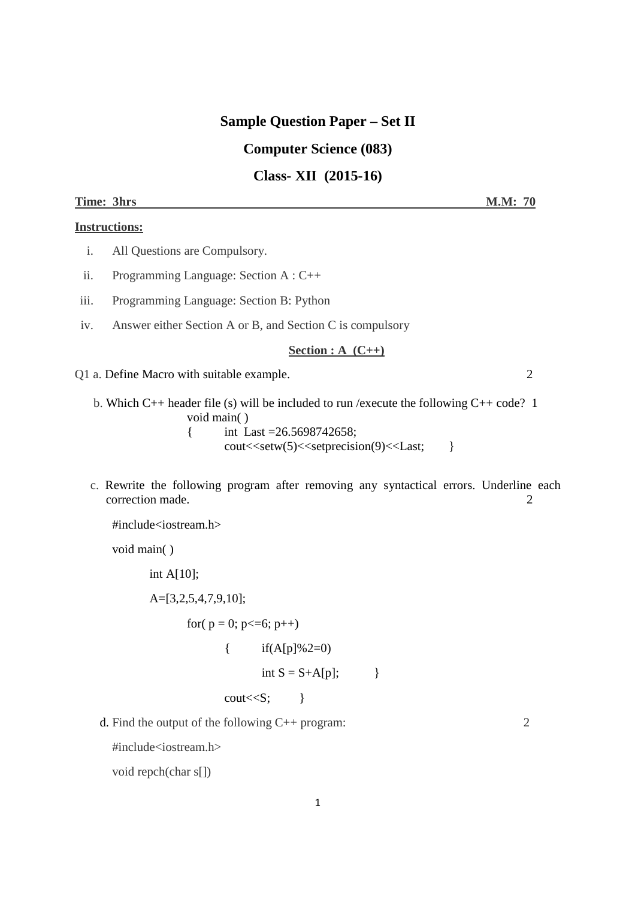## **Sample Question Paper – Set II**

# **Computer Science (083)**

**Class- XII (2015-16)** 

#### **Time: 3hrs M.M: 70**

#### **Instructions:**

- i. All Questions are Compulsory.
- ii. Programming Language: Section A : C++
- iii. Programming Language: Section B: Python
- iv. Answer either Section A or B, and Section C is compulsory

#### **Section : A (C++)**

Q1 a. Define Macro with suitable example. 2

 b. Which C++ header file (s) will be included to run /execute the following C++ code? 1 void main( ) { int Last =26.5698742658;

cout<<setw(5)<<setprecision(9)<<Last; }

 c. Rewrite the following program after removing any syntactical errors. Underline each correction made. 2

#include<iostream.h>

void main( )

int A $[10]$ ;

A=[3,2,5,4,7,9,10];

for( $p = 0$ ;  $p \le 6$ ;  $p++$ )

$$
\{ \qquad \text{if}(A[p]\%2=0)
$$

$$
int S = S + A[p];
$$

 $\text{cout} \ll S$ ;  $\}$ 

d. Find the output of the following C++ program: 2

#include<iostream.h>

void repch(char s[])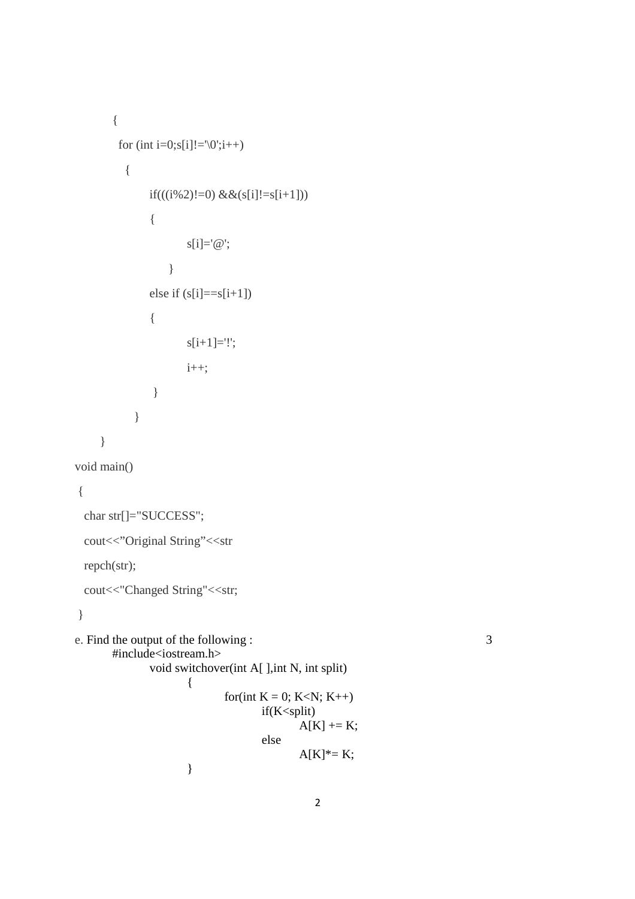```
{ 
      for (int i=0;s[i]!=\0;;i++)
        { 
           if(((i%2)!=0) &&(s[i]!=s[i+1])) { 
                 s[i]='@'; } 
           else if (s[i]=s[i+1])\{ s[i+1]='!'; 
                  i++; 
 } 
          } 
    } 
void main() 
 char str[]="SUCCESS";
 cout<<"Original String"<<str
  repch(str); 
 cout<<"Changed String"<<str;
e. Find the output of the following : 3
      #include<iostream.h> 
            void switchover(int A[ ],int N, int split) 
 { 
                      for(int K = 0; K < N; K++)
                             if(K<split) 
                                  A[K] += K;
 else 
                                  A[K]^* = K;}
```
{

}

```
2
```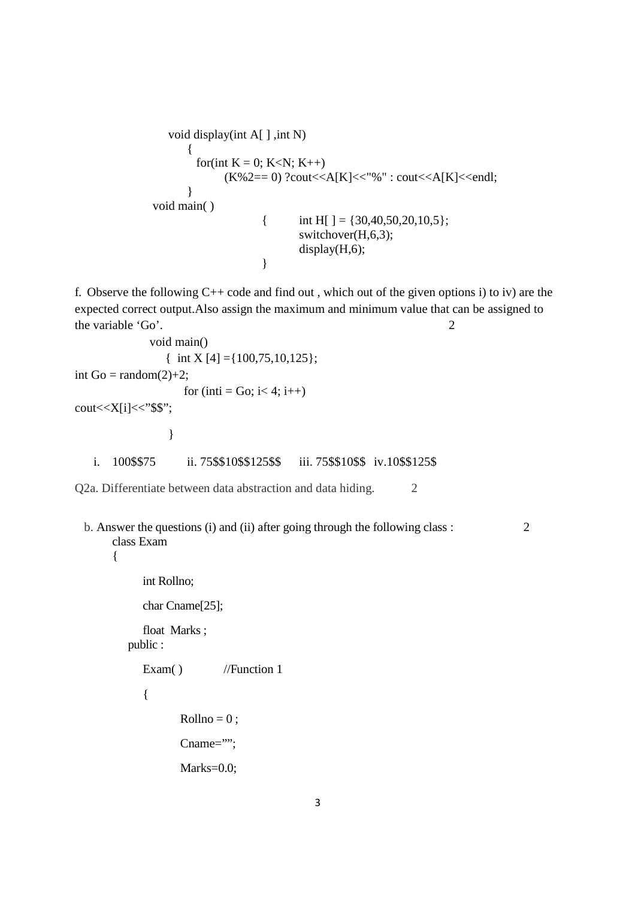```
void display(int A[ ], int N)
\{for(int K = 0; K < N; K++)
                     (K\%2 == 0) ?cout << A[K] << "%" : cout << A[K] << endl;
 } 
            void main( ) 
                           { int H[ ] = {30,40,50,20,10,5};
                                  switchover(H,6,3); 
                                  display(H,6); 
 }
```
f. Observe the following  $C++$  code and find out, which out of the given options i) to iv) are the expected correct output.Also assign the maximum and minimum value that can be assigned to the variable 'Go'. 2

```
 void main() 
               { int X [4] = \{100, 75, 10, 125\};int Go = random(2)+2;
                   for (inti = Go; i< 4; i++)
cout<<X[i]<<"$$";
 } 
   i. 100$$75 ii. 75$$10$$125$$ iii. 75$$10$$ iv.10$$125$
```
Q2a. Differentiate between data abstraction and data hiding. 2

b. Answer the questions (i) and (ii) after going through the following class : 2 class Exam

{

int Rollno;

char Cname[25];

float Marks ; public :

Exam( ) //Function 1

```
{
```

```
Rollno = 0;
Cname="";
```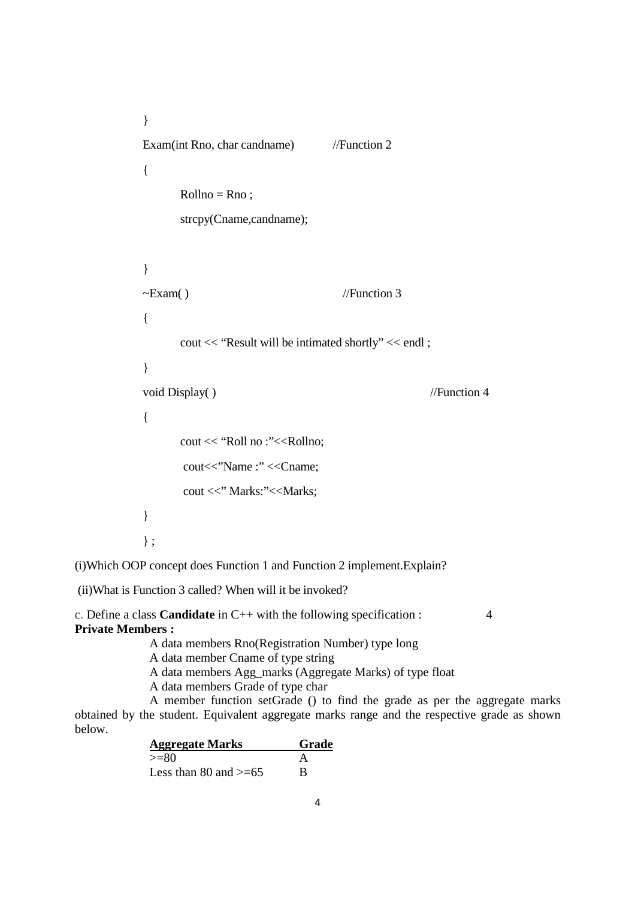```
} 
Exam(int Rno, char candname) //Function 2
{ 
      Rollno = Rno:
      strcpy(Cname,candname); 
} 
\simExam() //Function 3
{ 
      cout << "Result will be intimated shortly" << endl ; 
} 
void Display( ) //Function 4
{ 
      cout << "Roll no :"<<Rollno;
      cout << "Name :" << Cname;
      cout <<" Marks:"<<Marks;
} 
} ;
```
(i)Which OOP concept does Function 1 and Function 2 implement.Explain?

(ii)What is Function 3 called? When will it be invoked?

c. Define a class **Candidate** in C++ with the following specification : 4 **Private Members :** 

A data members Rno(Registration Number) type long

A data member Cname of type string

A data members Agg\_marks (Aggregate Marks) of type float

A data members Grade of type char

 A member function setGrade () to find the grade as per the aggregate marks obtained by the student. Equivalent aggregate marks range and the respective grade as shown below.

| <b>Aggregate Marks</b>     | Grade |
|----------------------------|-------|
| $>= 80$                    |       |
| Less than 80 and $\geq 65$ | R     |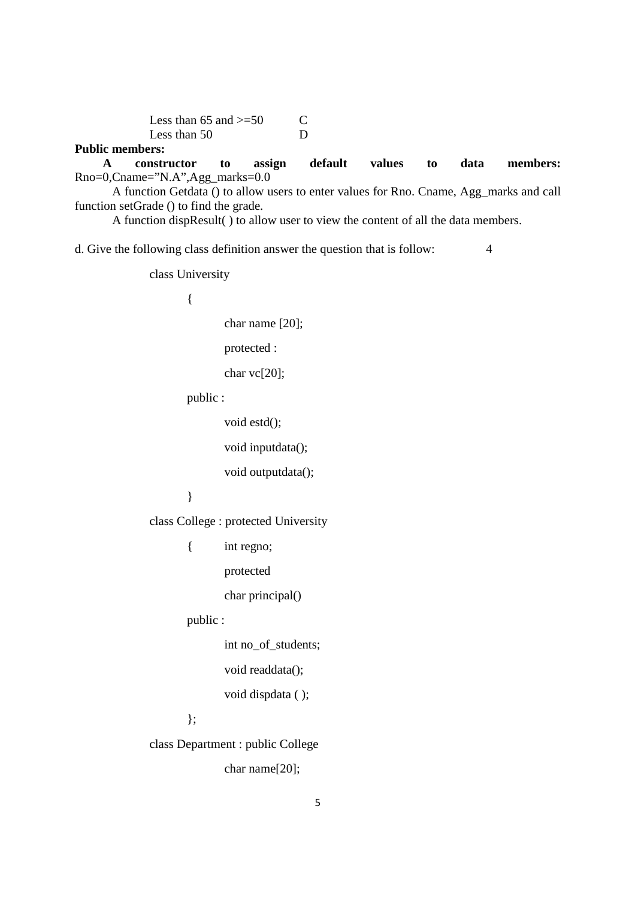Less than  $65$  and  $\geq 50$  C Less than 50 D

## **Public members:**

 **A constructor to assign default values to data members:** Rno=0,Cname="N.A",Agg\_marks=0.0

 A function Getdata () to allow users to enter values for Rno. Cname, Agg\_marks and call function setGrade () to find the grade.

A function dispResult( ) to allow user to view the content of all the data members.

d. Give the following class definition answer the question that is follow: 4

class University

{

char name [20];

protected :

char vc[20];

public :

```
 void estd();
```
void inputdata();

void outputdata();

}

class College : protected University

- { int regno;
	- protected

char principal()

public :

int no\_of\_students;

void readdata();

void dispdata ( );

};

class Department : public College

char name[20];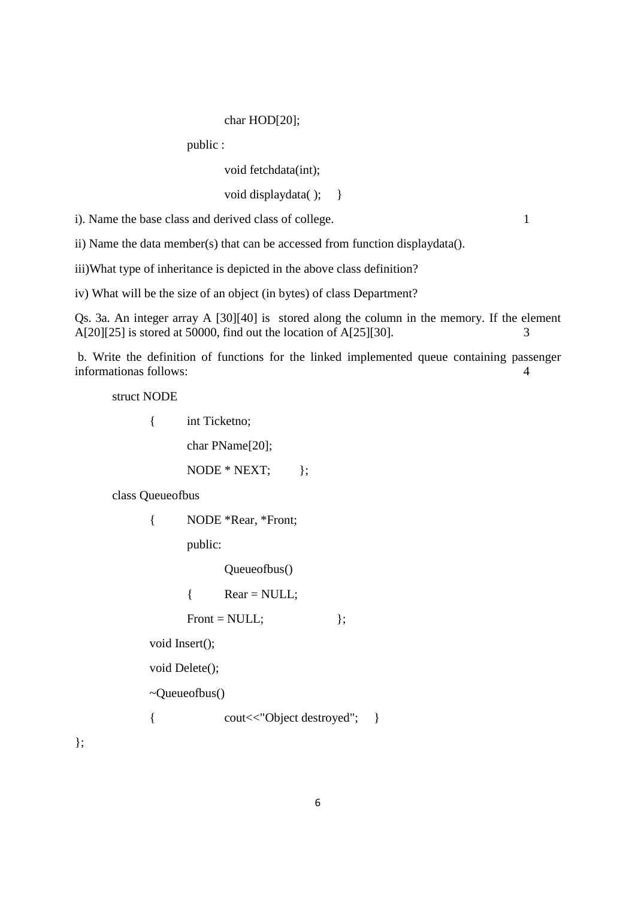#### char HOD[20];

public :

void fetchdata(int);

void displaydata(); }

i). Name the base class and derived class of college. 1

ii) Name the data member(s) that can be accessed from function displaydata().

iii)What type of inheritance is depicted in the above class definition?

iv) What will be the size of an object (in bytes) of class Department?

Qs. 3a. An integer array A [30][40] is stored along the column in the memory. If the element A[20][25] is stored at 50000, find out the location of A[25][30]. 3

 b. Write the definition of functions for the linked implemented queue containing passenger informationas follows: 4

struct NODE

{ int Ticketno;

char PName[20];

 $\text{NODE} * \text{NEXT};$  };

class Queueofbus

{ NODE \*Rear, \*Front;

public:

Queueofbus()

 $\{$  Rear = NULL;

Front =  $NULL;$  };

void Insert();

void Delete();

~Queueofbus()

{ cout<<"Object destroyed"; }

};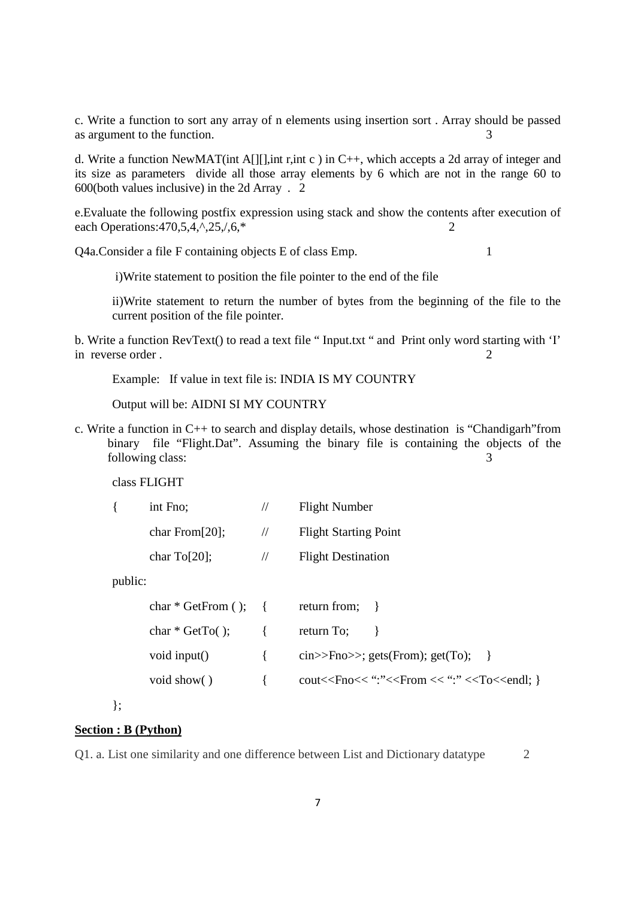c. Write a function to sort any array of n elements using insertion sort . Array should be passed as argument to the function.

d. Write a function NewMAT(int A[][],int r,int c ) in C++, which accepts a 2d array of integer and its size as parameters divide all those array elements by 6 which are not in the range 60 to 600(both values inclusive) in the 2d Array . 2

e.Evaluate the following postfix expression using stack and show the contents after execution of each Operations: 470, 5, 4,  $\cdot$ , 25,  $/$ , 6,  $*$ 

Q4a.Consider a file F containing objects E of class Emp. 1

i)Write statement to position the file pointer to the end of the file

ii)Write statement to return the number of bytes from the beginning of the file to the current position of the file pointer.

b. Write a function RevText() to read a text file " Input.txt " and Print only word starting with 'I' in reverse order . 2

Example: If value in text file is: INDIA IS MY COUNTRY

Output will be: AIDNI SI MY COUNTRY

c. Write a function in C++ to search and display details, whose destination is "Chandigarh"from binary file "Flight.Dat". Assuming the binary file is containing the objects of the following class: 3

class FLIGHT

| int Fno;               |               | <b>Flight Number</b>         |
|------------------------|---------------|------------------------------|
| char From $[20]$ ;     | $\frac{1}{2}$ | <b>Flight Starting Point</b> |
| char $\text{To}$ [20]; | $\frac{1}{2}$ | <b>Flight Destination</b>    |

public:

| $char * GetFrom ()$ ; { |                      | return from; }                                                             |
|-------------------------|----------------------|----------------------------------------------------------------------------|
| $char * GetTo()$ ;      | $\left\{ \right.$    | return To; $\}$                                                            |
| void input()            | $\mathcal{A}$        | cin>>Fno>>; gets(From); get(To); $\}$                                      |
| void show()             | $\sim$ $\sim$ $\sim$ | cout< <fno<< ":"="" ":"<<from="" <<="" <<to<<endl;="" td="" }<=""></fno<<> |
|                         |                      |                                                                            |

};

### **Section : B (Python)**

Q1. a. List one similarity and one difference between List and Dictionary datatype 2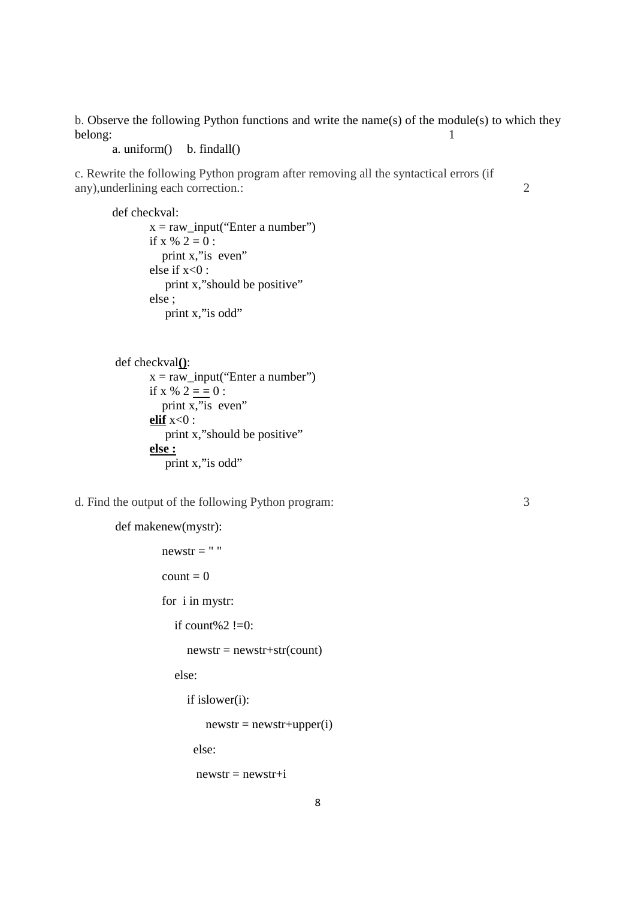b. Observe the following Python functions and write the name(s) of the module(s) to which they belong: 1

a. uniform $()$  b. findall $()$ 

c. Rewrite the following Python program after removing all the syntactical errors (if any),underlining each correction.: 2

def checkval:  $x = raw\_input("Enter a number")$ 

if x %  $2 = 0$  : print x," is even" else if  $x<0$ : print x,"should be positive" else ; print x,"is odd"

```
 def checkval():
```
 $x = raw\_input("Enter a number")$ if x %  $2 = 0$  : print x,"is even" **elif**  $x < 0$  : print x,"should be positive" **else :**  $\overline{\text{print x}}$ ," is odd"

d. Find the output of the following Python program: 3

```
 def makenew(mystr):
```

```
newstr = "count = 0 for i in mystr: 
  if count%2!=0:
     newstr = newstr + str(count) else: 
      if islower(i): 
         newstr = newstr + upper(i) else: 
       newstr = newstr + i
```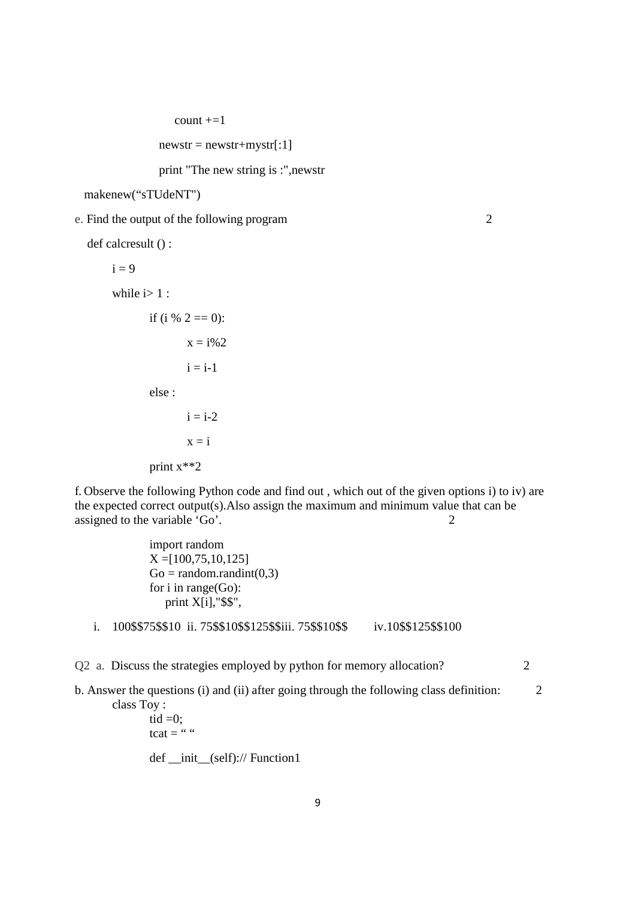$count += 1$ 

 $newstr = newstr + mystr[:1]$ 

print "The new string is :",newstr

```
 makenew("sTUdeNT")
```
e. Find the output of the following program 2

```
 def calcresult () :
```

```
i = 9while i>1 :
       if (i % 2 = 0):
               x = i\%2i = i-1 else : 
               i = i-2x = i
```
print x\*\*2

f. Observe the following Python code and find out , which out of the given options i) to iv) are the expected correct output(s).Also assign the maximum and minimum value that can be assigned to the variable 'Go'. 2

> import random  $X = [100, 75, 10, 125]$  $Go = random.random(0,3)$  for i in range(Go): print X[i],"\$\$",

i. 100\$\$75\$\$10 ii. 75\$\$10\$\$125\$\$iii. 75\$\$10\$\$ iv.10\$\$125\$\$100

Q2 a. Discuss the strategies employed by python for memory allocation?

b. Answer the questions (i) and (ii) after going through the following class definition: 2 class Toy :

tid  $=0$ : tcat  $=$  "" def \_\_init\_\_(self):// Function1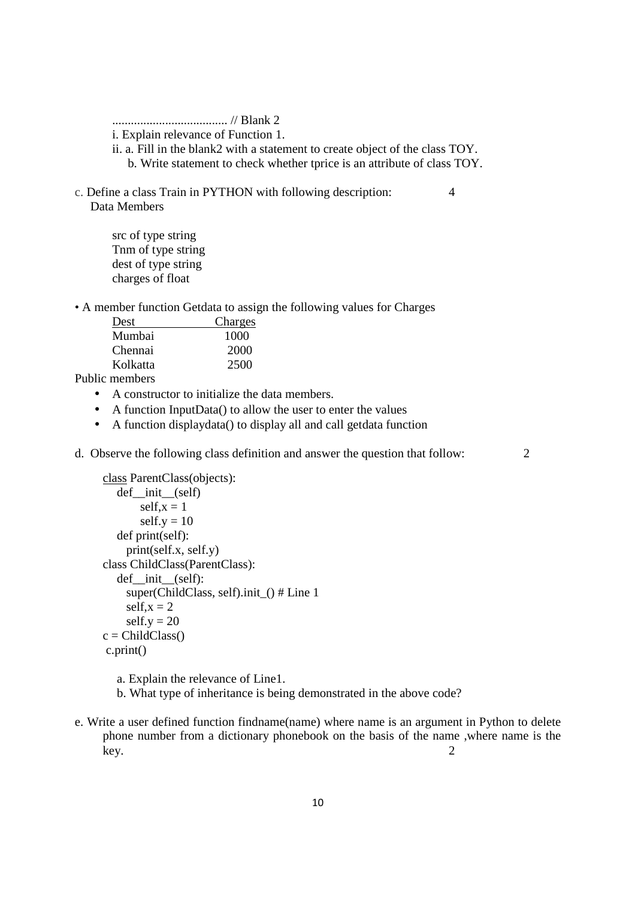..................................... // Blank 2

i. Explain relevance of Function 1.

- ii. a. Fill in the blank2 with a statement to create object of the class TOY. b. Write statement to check whether tprice is an attribute of class TOY.
- c. Define a class Train in PYTHON with following description: 4 Data Members

src of type string Tnm of type string dest of type string charges of float

• A member function Getdata to assign the following values for Charges

| Dest     | Charges |
|----------|---------|
| Mumbai   | 1000    |
| Chennai  | 2000    |
| Kolkatta | 2500    |

Public members

- A constructor to initialize the data members.
- A function InputData() to allow the user to enter the values
- A function displaydata() to display all and call getdata function

d. Observe the following class definition and answer the question that follow: 2

```
class ParentClass(objects): 
   def__init__(self) 
        self.x = 1self.y = 10def print(self): 
      print(self.x, self.y) 
 class ChildClass(ParentClass): 
   def init (self):
      super(ChildClass, self).init_() # Line 1 
     self.x = 2self.y = 20c = ChildClass() c.print()
```
- a. Explain the relevance of Line1.
- b. What type of inheritance is being demonstrated in the above code?
- e. Write a user defined function findname(name) where name is an argument in Python to delete phone number from a dictionary phonebook on the basis of the name ,where name is the key. 2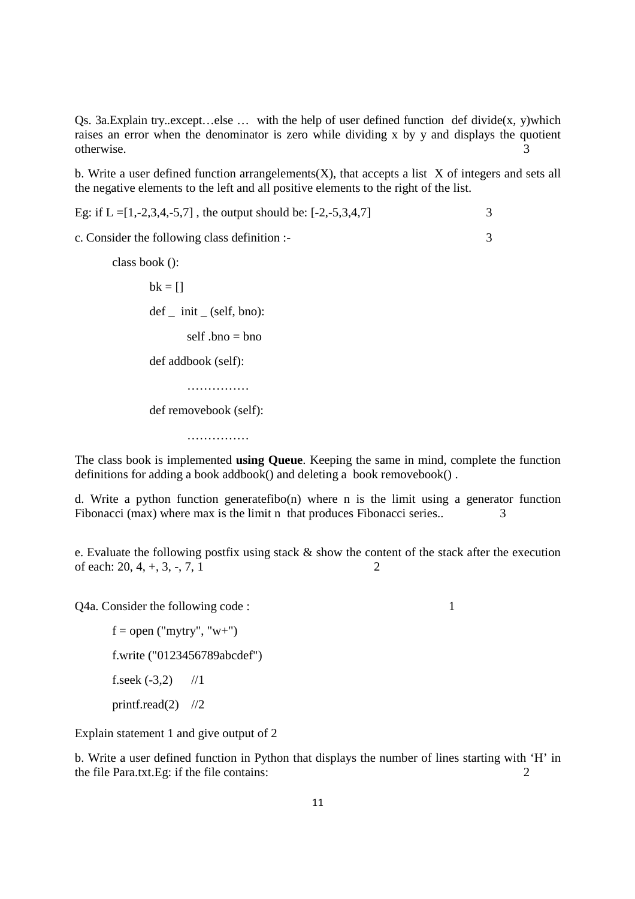Qs. 3a.Explain try..except…else … with the help of user defined function def divide(x, y)which raises an error when the denominator is zero while dividing x by y and displays the quotient otherwise. 3

b. Write a user defined function arrangelements $(X)$ , that accepts a list X of integers and sets all the negative elements to the left and all positive elements to the right of the list.

Eg: if  $L = [1, -2, 3, 4, -5, 7]$ , the output should be:  $[-2, -5, 3, 4, 7]$  3

c. Consider the following class definition :- 3

 class book ():  $bk = 1$  $def\_init_(self, bno):$ self  $bno = bno$ def addbook (self):

def removebook (self):

……………

…………………

The class book is implemented **using Queue**. Keeping the same in mind, complete the function definitions for adding a book addbook() and deleting a book removebook() .

d. Write a python function generatefibo(n) where n is the limit using a generator function Fibonacci (max) where max is the limit n that produces Fibonacci series.. 3

e. Evaluate the following postfix using stack & show the content of the stack after the execution of each:  $20, 4, +, 3, -, 7, 1$  2

Q4a. Consider the following code : 1

 $f = open("mytry", "w+")$ f.write ("0123456789abcdef") f.seek  $(-3,2)$  //1 printf.read $(2)$  //2

Explain statement 1 and give output of 2

b. Write a user defined function in Python that displays the number of lines starting with 'H' in the file Para.txt.Eg: if the file contains: 2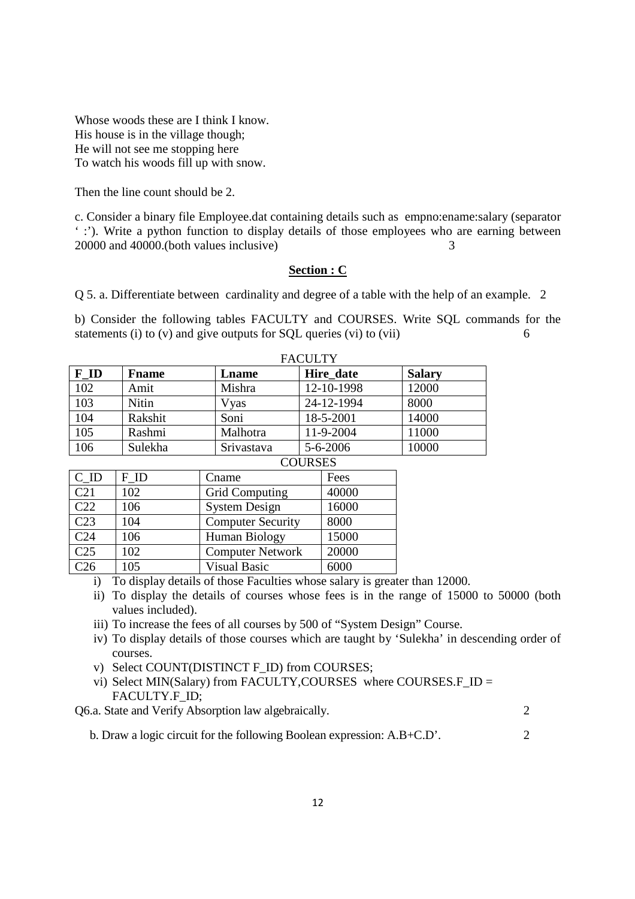Whose woods these are I think I know. His house is in the village though; He will not see me stopping here To watch his woods fill up with snow.

Then the line count should be 2.

c. Consider a binary file Employee.dat containing details such as empno:ename:salary (separator ' :'). Write a python function to display details of those employees who are earning between 20000 and 40000.(both values inclusive) 3

### **Section : C**

Q 5. a. Differentiate between cardinality and degree of a table with the help of an example. 2

b) Consider the following tables FACULTY and COURSES. Write SQL commands for the statements (i) to (v) and give outputs for SQL queries (vi) to (vii)  $\frac{6}{100}$ 

| <b>FACULTY</b> |               |            |                |               |
|----------------|---------------|------------|----------------|---------------|
| F ID           | <b>F</b> name | Lname      | Hire date      | <b>Salary</b> |
| 102            | Amit          | Mishra     | 12-10-1998     | 12000         |
| 103            | Nitin         | Vyas       | 24-12-1994     | 8000          |
| 104            | Rakshit       | Soni       | 18-5-2001      | 14000         |
| 105            | Rashmi        | Malhotra   | 11-9-2004      | 11000         |
| 106            | Sulekha       | Srivastava | $5 - 6 - 2006$ | 10000         |
|                |               |            | <b>COURSES</b> |               |

| <u>COONDL</u>     |      |                          |       |  |
|-------------------|------|--------------------------|-------|--|
| $C$ <sub>ID</sub> | F ID | Cname                    | Fees  |  |
| C <sub>21</sub>   | 102  | Grid Computing           | 40000 |  |
| C22               | 106  | <b>System Design</b>     | 16000 |  |
| C <sub>23</sub>   | 104  | <b>Computer Security</b> | 8000  |  |
| C <sub>24</sub>   | 106  | Human Biology            | 15000 |  |
| C <sub>25</sub>   | 102  | <b>Computer Network</b>  | 20000 |  |
| C <sub>26</sub>   | 105  | <b>Visual Basic</b>      | 6000  |  |

- i) To display details of those Faculties whose salary is greater than 12000.
- ii) To display the details of courses whose fees is in the range of 15000 to 50000 (both values included).
- iii) To increase the fees of all courses by 500 of "System Design" Course.
- iv) To display details of those courses which are taught by 'Sulekha' in descending order of courses.
- v) Select COUNT(DISTINCT F\_ID) from COURSES;
- vi) Select MIN(Salary) from FACULTY,COURSES where COURSES.F\_ID = FACULTY.F\_ID;

Q6.a. State and Verify Absorption law algebraically. 2

b. Draw a logic circuit for the following Boolean expression: A.B+C.D'. 2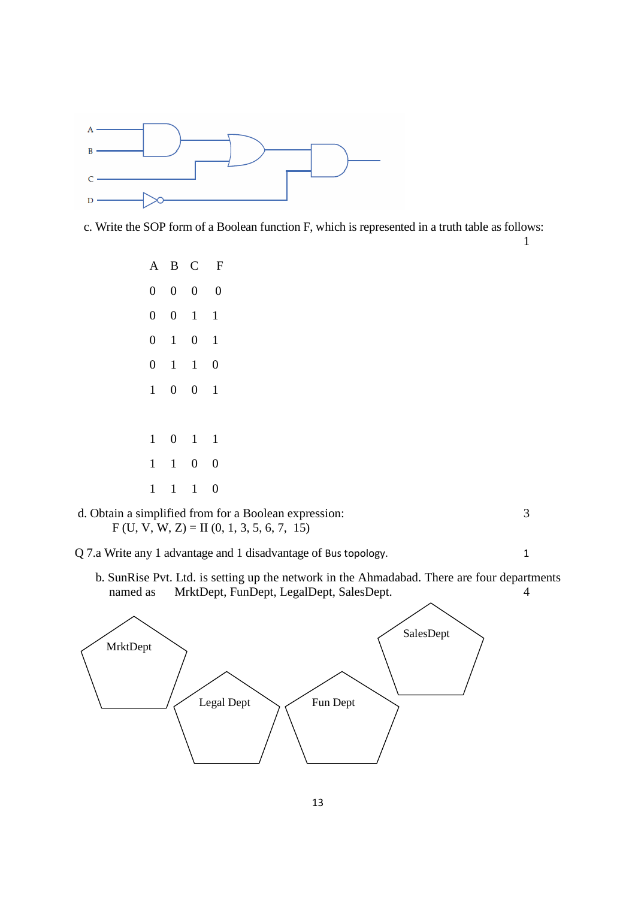

c. Write the SOP form of a Boolean function F, which is represented in a truth table as follows:

 $1$ 

|                |                | A B C               | $\mathbf{F}$     |
|----------------|----------------|---------------------|------------------|
|                | $0 \quad 0$    |                     | $0 \quad 0$      |
| $\overline{0}$ |                | $0 \quad 1 \quad 1$ |                  |
| $\overline{0}$ | $\overline{1}$ | $\overline{0}$      | $\mathbf{1}$     |
| $\overline{0}$ |                | $1 \quad 1$         | $\boldsymbol{0}$ |
| $\,1$          | $\overline{0}$ | $0 \quad 1$         |                  |
|                |                |                     |                  |
| 1              |                | $0 \t 1 \t 1$       |                  |
| $\mathbf{1}$   | $\overline{1}$ | $\overline{0}$      | $\overline{0}$   |
| $\mathbf{1}$   |                | $1 \quad 1$         | $\overline{0}$   |



Q 7.a Write any 1 advantage and 1 disadvantage of Bus topology. 1

 b. SunRise Pvt. Ltd. is setting up the network in the Ahmadabad. There are four departments named as MrktDept, FunDept, LegalDept, SalesDept. 4